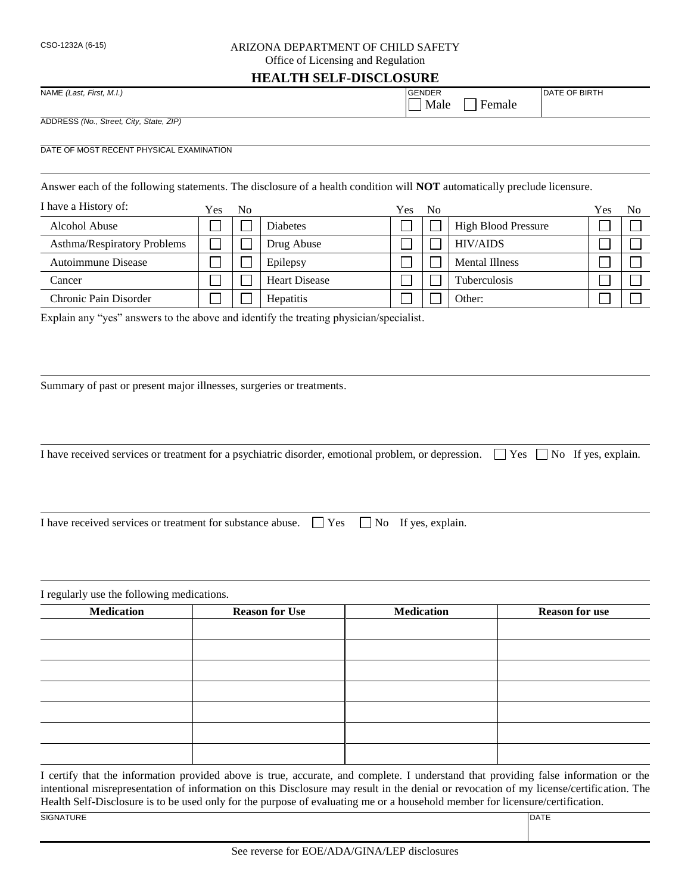## CSO-1232A (6-15) ARIZONA DEPARTMENT OF CHILD SAFETY

Office of Licensing and Regulation

## **HEALTH SELF-DISCLOSURE**

| NAME (Last, First, M.I.)                | <b>GENDER</b>  | <b>DATE OF BIRTH</b> |  |  |
|-----------------------------------------|----------------|----------------------|--|--|
|                                         | Male<br>Female |                      |  |  |
| ADDRESS (No., Street, City, State, ZIP) |                |                      |  |  |

DATE OF MOST RECENT PHYSICAL EXAMINATION

Answer each of the following statements. The disclosure of a health condition will **NOT** automatically preclude licensure.

| I have a History of:        | Yes | No |                      | Yes | - No |                            | Yes | No |
|-----------------------------|-----|----|----------------------|-----|------|----------------------------|-----|----|
| Alcohol Abuse               |     |    | <b>Diabetes</b>      |     |      | <b>High Blood Pressure</b> |     |    |
| Asthma/Respiratory Problems |     |    | Drug Abuse           |     |      | <b>HIV/AIDS</b>            |     |    |
| Autoimmune Disease          |     |    | Epilepsy             |     |      | <b>Mental Illness</b>      |     |    |
| Cancer                      |     |    | <b>Heart Disease</b> |     |      | Tuberculosis               |     |    |
| Chronic Pain Disorder       |     |    | Hepatitis            |     |      | Other:                     |     |    |

Explain any "yes" answers to the above and identify the treating physician/specialist.

Summary of past or present major illnesses, surgeries or treatments.

I have received services or treatment for a psychiatric disorder, emotional problem, or depression.  $\Box$  Yes  $\Box$  No If yes, explain.

I have received services or treatment for substance abuse.  $\Box$  Yes  $\Box$  No If yes, explain.

I regularly use the following medications. **Medication Reason for Use Medication Reason for use**

I certify that the information provided above is true, accurate, and complete. I understand that providing false information or the intentional misrepresentation of information on this Disclosure may result in the denial or revocation of my license/certification. The Health Self-Disclosure is to be used only for the purpose of evaluating me or a household member for licensure/certification. SIGNATURE DATE